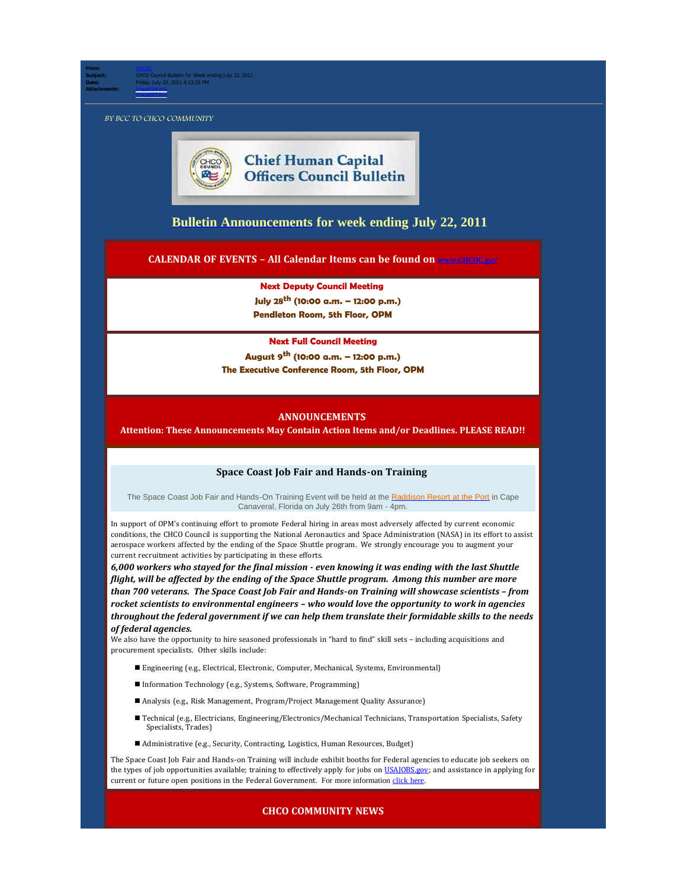**Subject:** CHCO Council Bulletin for Week ending July 22, 2011 **Date:** Friday, July 22, 2011 4:13:25 PM **Attachments:** image004.png

BY BCC TO CHCO COMMUNITY

image003.png

**From:** [CHCOC](mailto:/O=OPM/OU=EXCHANGE ADMINISTRATIVE GROUP (FYDIBOHF23SPDLT)/CN=RECIPIENTS/CN=CHCOC)



# **[Bulletin Announcements](http://chcoc.gov/Transmittals/Index.aspx) for week ending July 22, 2011**

**CALENDAR OF EVENTS – All Calendar Items can be found on [www.CHCOC.gov](http://www.chcoc.gov/)**

**Next Deputy Council Meeting July 28th (10:00 a.m. – 12:00 p.m.) Pendleton Room, 5th Floor, OPM**

#### **Next Full Council Meeting**

**August 9th (10:00 a.m. – 12:00 p.m.) The Executive Conference Room, 5th Floor, OPM**

#### **ANNOUNCEMENTS**

**Attention: These Announcements May Contain Action Items and/or Deadlines. PLEASE READ!!**

#### **Space Coast Job Fair and Hands-on Training**

The Space Coast Job Fair and Hands-On Training Event will be held at the [Raddison Resort at the Port](http://www.radisson.com/cape-canaveral-hotel-fl-32920/flcocoa) in Cape Canaveral, Florida on July 26th from 9am - 4pm.

In support of OPM's continuing effort to promote Federal hiring in areas most adversely affected by current economic conditions, the CHCO Council is supporting the National Aeronautics and Space Administration (NASA) in its effort to assist aerospace workers affected by the ending of the Space Shuttle program. We strongly encourage you to augment your current recruitment activities by participating in these efforts.

*6,000 workers who stayed for the final mission - even knowing it was ending with the last Shuttle flight, will be affected by the ending of the Space Shuttle program. Among this number are more than 700 veterans. The Space Coast Job Fair and Hands-on Training will showcase scientists – from rocket scientists to environmental engineers – who would love the opportunity to work in agencies throughout the federal government if we can help them translate their formidable skills to the needs of federal agencies.*

We also have the opportunity to hire seasoned professionals in "hard to find" skill sets – including acquisitions and procurement specialists. Other skills include:

- Engineering (e.g., Electrical, Electronic, Computer, Mechanical, Systems, Environmental)
- Information Technology (e.g., Systems, Software, Programming)
- Analysis (e.g., Risk Management, Program/Project Management Quality Assurance)
- n Technical (e.g., Electricians, Engineering/Electronics/Mechanical Technicians, Transportation Specialists, Safety Specialists, Trades)
- Administrative (e.g., Security, Contracting, Logistics, Human Resources, Budget)

The Space Coast Job Fair and Hands-on Training will include exhibit booths for Federal agencies to educate job seekers on the types of job opportunities available; training to effectively apply for jobs on [USAJOBS.gov;](http://usajobs.gov/) and assistance in applying for current or future open positions in the Federal Government. For more information [click](http://chcoc.gov/transmittals/TransmittalDetails.aspx?TransmittalID=3949) here.

#### **CHCO COMMUNITY NEWS**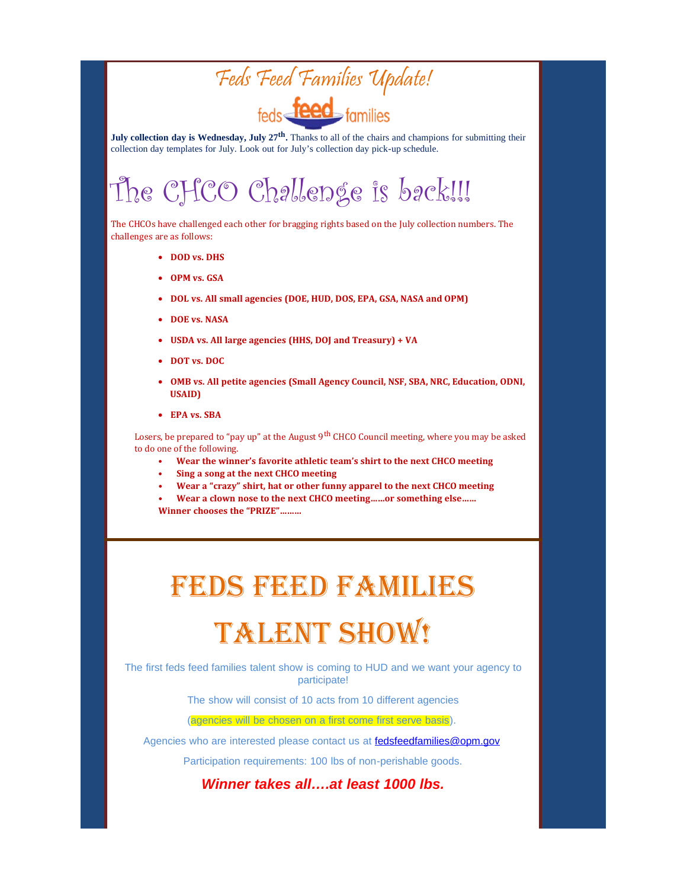

**July collection day is Wednesday, July 27<sup>th</sup>.** Thanks to all of the chairs and champions for submitting their collection day templates for July. Look out for July's collection day pick-up schedule.

# The CHCO Challenge is back!!!

The CHCOs have challenged each other for bragging rights based on the July collection numbers. The challenges are as follows:

- · **DOD vs. DHS**
- · **OPM vs. GSA**
- · **DOL vs. All small agencies (DOE, HUD, DOS, EPA, GSA, NASA and OPM)**
- · **DOE vs. NASA**
- USDA vs. All large agencies (HHS, DOJ and Treasury) + VA
- · **DOT vs. DOC**
- · **OMB vs. All petite agencies (Small Agency Council, NSF, SBA, NRC, Education, ODNI, USAID)**
- · **EPA vs. SBA**

Losers, be prepared to "pay up" at the August 9<sup>th</sup> CHCO Council meeting, where you may be asked to do one of the following.

- **Wear the winner's favorite athletic team's shirt to the next CHCO meeting**
- **Sing a song at the next CHCO meeting**
- **Wear a "crazy" shirt, hat or other funny apparel to the next CHCO meeting**

**• Wear a clown nose to the next CHCO meeting……or something else…… Winner chooses the "PRIZE"………**

# FEDS FEED FAMILIES **TALENT SHOW!**

The first feds feed families talent show is coming to HUD and we want your agency to participate!

The show will consist of 10 acts from 10 different agencies

(agencies will be chosen on a first come first serve basis).

Agencies who are interested please contact us at [fedsfeedfamilies@opm.gov](mailto:fedsfeedfamilies@opm.gov)

Participation requirements: 100 lbs of non-perishable goods.

*Winner takes all….at least 1000 lbs.*